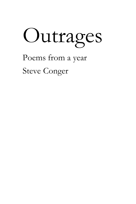

Poems from a year

Steve Conger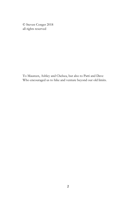© Steven Conger 2018 all rights reserved

To Maureen, Ashley and Chelsea, but also to Patti and Dave Who encouraged us to hike and venture beyond our old limits.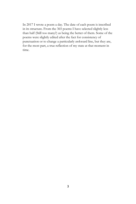In 2017 I wrote a poem a day. The date of each poem is inscribed in its structure. From the 365 poems I have selected slightly less than half (Still too many?) as being the better of them. Some of the poems were slightly edited after the fact for consistency of punctuation or to change a particularly awkward line, but they are, for the most part, a true reflection of my state at that moment in time.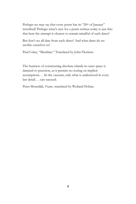Perhaps we may say that every poem has its "20<sup>th</sup> of January" inscribed? Perhaps what's new for a poem written today is just this: that here the attempt is clearest to remain mindful of such dates?

But don't we all date from such dates? And what dates do we ascribe ourselves to?

Paul Celan, "Meridian." Translated by John Flestiner.

The business of constructing absolute islands in outer space is damned to precision, as it permits no resting on implicit assumptions. . . In the vacuum, only what is understood in every last detail. . . can succeed.

Peter Sloterdijk*, Foams*. translated by Weiland Hoban.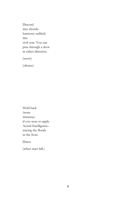Discord into chords: harmony unlikely this civil year. You can pass through a door in either direction.

(snow)

(silence)

Hold back (none immune) if you were to apply Actual Intelligence- tracing the florals in the frost.

Dawn

(when stars fall.)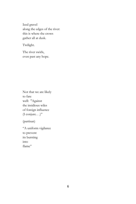Iced gravel along the edges of the river: this is where the crows gather all at dusk.

Twilight.

The river swirls, even past any hope.

Not that we are likely to fare well: "Against the insidious wiles of foreign influence (I conjure. . .)"

(partisan)

"A uniform vigilance to prevent its bursting into flame"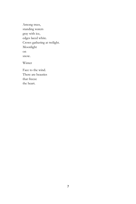Among trees, standing waters gray with ice, edges laced white. Crows gathering at twilight. Moonlight on snow. Winter

Face to the wind. There are beauties that freeze the heart.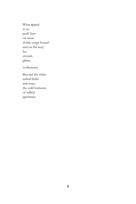What appeal to repeal? Sun on snow. (Little songs bound and on the way) Ice crystals glitter. (collusions) Beyond the white tufted fields and trees, the cold horizons of willful ignorance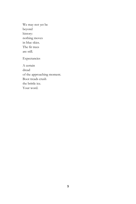We may not yet be beyond history: nothing moves in blue skies. The fir trees are still. Expectancies

A certain dread of the approaching moment. Boot treads crush the brittle ice. Your word.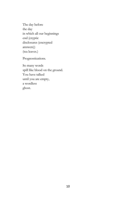The day before the day in which all our beginnings end (cryptic disclosures (encrypted answers)) (tea leaves.)

Prognostications.

So many words spill like blood on the ground. You have talked until you are empty, a wordless ghost.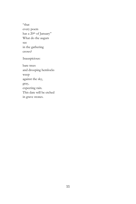"that every poem has a 20<sup>th</sup> of January" What do the augurs see in the gathering crows? Inauspicious: bare trees and drooping hemlocks weep against the sky, gray, expecting rain.

This date will be etched

in grave stones.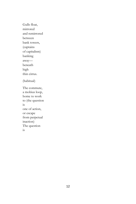Gulls float, mirrored and remirrored between bank towers, (captains of capitalism) banking away beneath high thin cirrus. (habitual) The commute, a mobius loop, home to work to (the question is one of action, or escape from perpetual inaction) The question is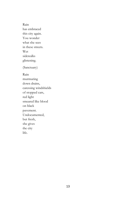Rain has embraced this city again. You wonder what she sees in these streets. Wet sidewalks glistening. (Sanctuary) Rain murmuring down drains, caressing windshields of stopped cars, red light smeared like blood on black pavement. Undocumented,

she gives the city life.

but fresh,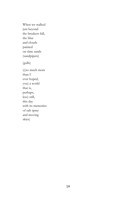When we walked just beyond the breakers fall, the blue and clouds painted on slate sands (sandpipers) (gulls) (((so much more than I ever hoped, you) a world that is, perhaps, less) still, this day with its memories of salt spray and moving skies)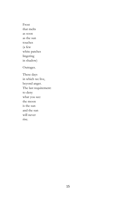Frost that melts as soon as the sun touches (a few white patches lingering in shadow) Outrages. These days in which we live, beyond anger. The last requirement: to deny what you see: the moon is the sun

and the sun

will never rise.

15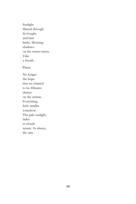Sunlight filtered through fir boughs and bare limbs. Morning shadows on the winter lawns. Take a breath. Pause. No longer the hope that we claimed to be. Dreams shatter on the tarmac. Everything feels smaller somehow. The pale sunlight fades as clouds return. As always, the rain.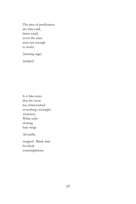The rites of purification are (this cold, bitter wind) (even the rains were not enough to wash)

(burning sage)

(juniper)

Is it fake news that the snow has whitewashed everything overnight. (erasures) White tufts clotting bare twigs.

All traffic

stopped. Blank slate for fresh contemplations.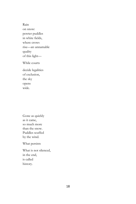Rain on snow: pewter puddles in white fields, where crows rise—an unnamable quality of this light—

While courts

decide legalities of exclusion, the sky opens wide.

Gone as quickly as it came, so much more than the snow. Puddles scuffed by the wind.

What persists

What is not silenced, in the end, is called history.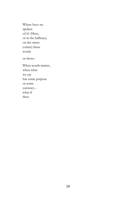Where have we spoken of it? (Here, or in the hallways, on the street corner) these words

or those--

When words matter, when what we say has some purpose or some currency- what if then.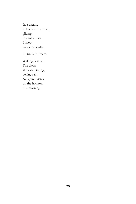In a dream, I flew above a road, gliding toward a vista I knew was spectacular.

Optimistic dream.

Waking, less so. The dawn shrouded in fog, veiling rain. No grand vistas on the horizon this morning.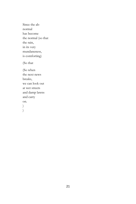Since the abnormal has become the normal (so that the rain, in its very mundaneness, is comforting)

(So that

(So when the next news breaks, we can look out at wet streets and damp lawns and carry on. ) )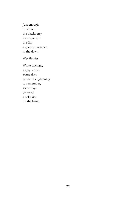Just enough to whiten the blackberry leaves, to give the firs a ghostly presence in the dawn.

Wet flurries.

White tracings, a gray world. Some days we need a lightening to remember, some days we need a cold kiss on the brow.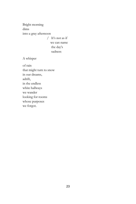Bright morning dims into a gray afternoon

> / It's not as if we can name the day's sadness

A whisper

of rain that might turn to snow in our dreams, adrift, in the endless white hallways we wander looking for rooms whose purposes we forgot.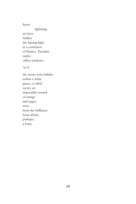Snow

 lightning: we have hidden the lancing light in a confusion of flurries. Thunder rattles office windows.

As if

the storm were hidden within a white gauze, a veiled secret, an impossible wound of energy and anger, torn, from the brilliance from which, perhaps, a hope.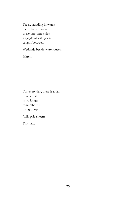Trees, standing in water, paint the surface- these one-time skies- a gaggle of wild geese caught between.

Wetlands beside warehouses.

March.

For every day, there is a day in which it is no longer remembered, its light lost—

(rails pale sheen)

This day.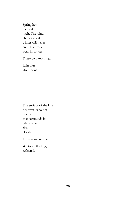Spring has recused itself. The wind chimes attest winter will never end. The trees sway in concert.

These cold mornings.

Rain blur afternoons.

The surface of the lake borrows its colors from all that surrounds it: white aspen, sky, clouds.

This encircling trail.

We too reflecting, reflected.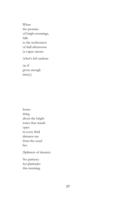When the promise of bright mornings, falls to the restlessness of dull afternoons (a vague unease

(what's left undone

(as if given enough time)))

Something about the bright water that stands open in every field distracts me from the usual lies.

(Splinters of dreams)

No patience for platitudes this morning.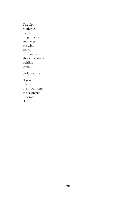The algorhythmic dance of ignorance and defeat- the wind whips the banners above the street: swirling litter. Hold your hat.

If you iterate over your steps the sequence becomes clear.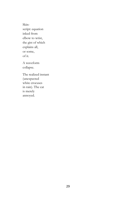Skinscript: equation inked from elbow to wrist, the gist of which explains all, or some, of it.

A waveform collapse.

The realized instant (unexpected white crocuses in rain). The cat is merely annoyed.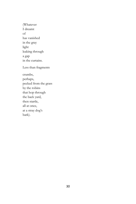(Whatever I dreamt of has vanished in the gray light leaking through a gap in the curtains. Less than fragments crumbs, perhaps, pecked from the grass by the robins that hop through the back yard, then startle, all at once, at a stray dog's bark).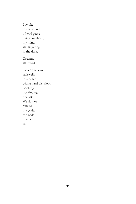I awoke to the sound of wild geese flying overhead, my mind still lingering in the dark. Dreams, still vivid. Down shadowed stairwells to a cellar with a hard dirt floor. Looking not finding. She said: We do not pursue the gods; the gods pursue us.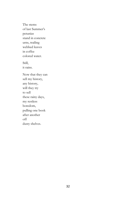The stems of last Summer's petunias stand in concrete urns, trailing webbed leaves in coffee colored water. Still, it rains. Now that they can sell my history, any history, will they try to sell these rainy days, my restless boredom, pulling one book after another off dusty shelves.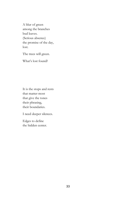A blur of green among the branches bud leaves. (Serious absence) the promise of the day, lost.

The trees will green.

What's lost found?

It is the stops and rests that matter most that give the tones their phrasing, their boundaries.

I need deeper silences.

Edges to define the hidden center.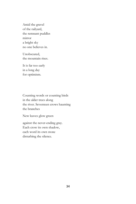Amid the gravel of the railyard, the remnant puddles mirror a bright sky no one believes in.

Unobscured, the mountain rises.

It is far too early in a long day for optimism.

Counting words or counting birds in the alder trees along the river. Seventeen crows haunting the branches

New leaves glow green

against the never-ending gray. Each crow its own shadow, each word its own stone disturbing the silence.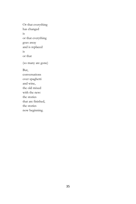Or that everything has changed is or that everything goes away and is replaced is or that (so many are gone) But, conversations over spaghetti and wine, the old mixed with the new: the stories that are finished,

the stories

now beginning.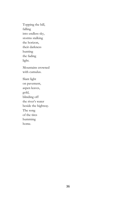Topping the hill, falling into endless sky, storms stalking the horizon, their darkness hunting the fading light. Mountains crowned with cumulus.

Slant light on pavement, aspen leaves, gold, blinding off the river's water beside the highway. The song of the tires humming home.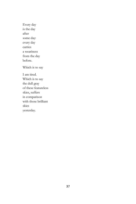Every day is the day after some day: every day carries a weariness from the day before. Which is to say I am tired. Which is to say the dull gray of these featureless skies, suffers in comparison

with those brilliant skies

yesterday.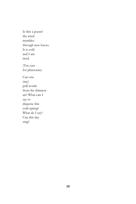Is this a poem? the wind trembles through new leaves. It is cold and I am tired. (Tax cuts for plutocrats) Can one (me) pull words from the thinnest air? What can I say to disperse this cold spring? What do I say? Can this day sing?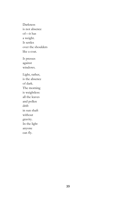Darkness is not absence of—it has a weight. It settles over the shoulders like a coat. It presses against windows. Light, rather, is the absence of dark. The morning is weightless: all the leaves and pollen drift in sun shaft without gravity. In the light anyone can fly.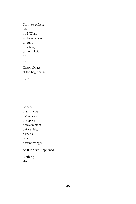From elsewhere- who is not? What we have labored to build or salvage or demolish or not-- Chaos always

at the beginning.

"Yes."

Longer than the dark has wrapped the space between stars, before this, a gnat's now beating wings:

As if it never happened--

Nothing after.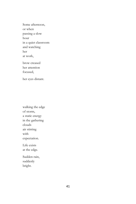Some afternoon, or when passing a slow hour in a quiet classroom and watching her at work,

brow creased her attention focused,

her eyes distant.

walking the edge of storm, a static energy in the gathering clouds air stirring with expectation.

Life exists at the edge.

Sudden rain, suddenly bright.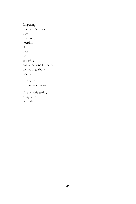Lingering, yesterday's image now nurtured, keeping all near, not escaping- conversations in the hall- something about poetry. The ache of the impossible.

Finally, this spring a day with warmth.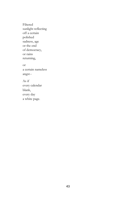Filtered sunlight reflecting off a certain polished sadness, age or the end of democracy, or rains returning, or a certain nameless angst-- As if every calendar blank, every day a white page.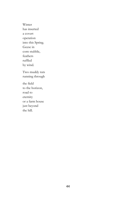Winter has inserted a covert operation into this Spring. Geese in corn stubble, feathers ruffled by wind. Two muddy ruts running through the field to the horizon, road to eternity or a farm house just beyond the hill.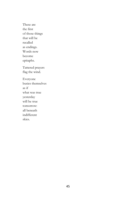These are the first of those things that will be recalled as endings. Words now become epitaphs. Tattered prayers flag the wind. Everyone busies themselves as if what was true yesterday will be true tomorrow: all beneath indifferent skies.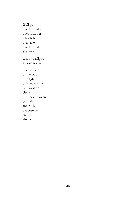If all go into the darkness, does it matter what beliefs they take into the dark? Shadows cast by daylight, silhouettes cut from the cloth of the day. The light only makes the demarcation clearer- the lines between warmth and chill, between sun and absence.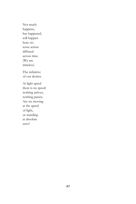Not much happens, has happened, will happen here: no tense action diffused across time. (We are timeless)

The infinitive of our desires.

At light speed there is no speed: nothing arrives, nothing passes. Are we moving at the speed of light, or standing at absolute zero?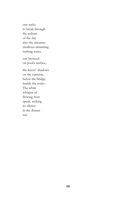one seeks to break through the tedium of the day into the uncanny: swallows skimming rushing water, sun bronzed on pool's surface, the leaves' shadows on the currents, below the bridge, beside the rocks-- The white whisper of flowing river speak, seeking its silence in the distant

sea.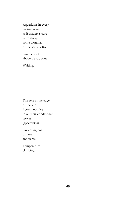Aquariums in every waiting room, as if anxiety's cure were always some diorama of the sea's bottom.

Sun fish drift above plastic coral.

Waiting.

The sere at the edge of the sun— I could not live in only air-conditioned spaces (spaceships).

Unceasing hum of fans and vents.

Temperature climbing.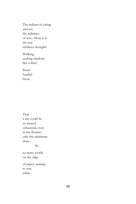The tedium of caring and yet, the infinities of not—How is it the sun sterilizes thought?

Walking, seeking shadows like a thief.

Sweat beaded brow.

That a day could be so wasted, exhausted, even in my dreams: only the minimum done.

So,

so many words on the edge

of paper, waiting to mar white.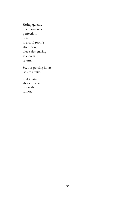Sitting quietly, one moment's perfection, here, in a cool room's afternoon, blue skies graying as clouds return.

So, our passing hours, isolate affairs.

Gulls bank above towers rife with rumor.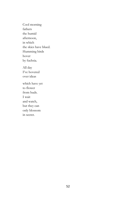Cool morning fathers the humid afternoon, in which the skies have blued. Humming birds hover by fuchsia. All day I've hovered over ideas which have yet to flower from buds. I wait and watch, but they can only blossom in secret.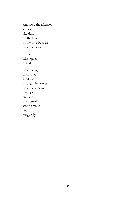And now the afternoon settles like dust on the leaves of the rose bushes; now the noise of the day

stills: quiet outside:

now the light casts long shadows through the leaves; now the windows melt gold and show their streaks: wood smoke and burgundy.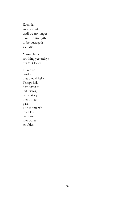Each day another cut until we no longer have the strength to be outraged: so it dies.

Marine layer soothing yesterday's burns. Clouds.

I have no wisdom that would help. Things fail, democracies fail, history is the story that things pass. The moment's troubles will flow into other troubles.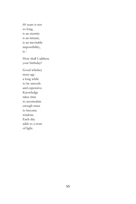60 years is not so long, is an eternity is an instant, is an inevitable impossibility,  $is-$ 

How shall I address your birthday?

Good whiskey must age a long while to be smooth and expensive. Knowledge takes time to accumulate enough mass to become wisdom. Each day adds to a store of light.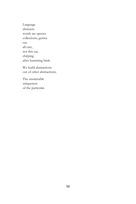Language abstracts words are species collections, genres cat, all cats, not this cat, chirping after humming birds

We build abstractions out of other abstractions.

The unutterable uniqueness of the particular.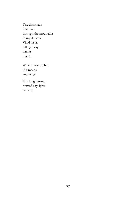The dirt roads that lead through the mountains in my dreams. Vivid vistas falling away: raging rivers.

Which means what, if it means anything?

The long journey toward day light: waking.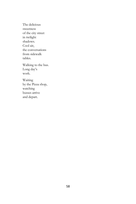The delicious sweetness of the city street in twilight shadows. Cool air, the conversations from sidewalk tables.

Walking to the bus. Long day's work.

Waiting by the Pizza shop, watching busses arrive and depart.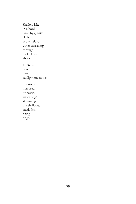Shallow lake in a bowl lined by granite cliffs, snow fields, water cascading through rock clefts above. There is peace here sunlight on stone: the stone mirrored on water, water bugs skimming the shallows, small fish rising- rings.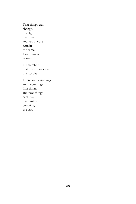That things can change, utterly, over time and yet, at core remain the same. Twenty-seven years--

I remember that hot afternoon- the hospital--

There are beginnings and beginnings: first things and new things each day overwrites, contains, the last.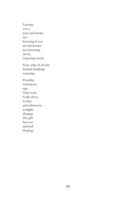Leaving you a note and books, not knowing if you are interested, not knowing, never, expecting much Gray strip of clouds behind buildings towering. Possible, tomorrow, rain. Clear now. Gulls silver in blue and afternoon sunlight. Hoping this gift has you amused. Hoping.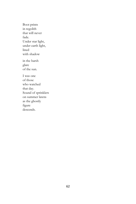Boot prints in regolith that will never fade. Under star light, under earth light, lined with shadow in the harsh glare of the sun. I was one of those who watched that day. Sound of sprinklers on summer lawns as the ghostly figure

descends.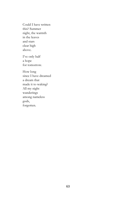Could I have written this? Summer night, the warmth in the leaves and stars clear high above.

I've only half a hope for tomorrow.

How long since I have dreamed a dream that made it to waking? All my night wanderings among nameless gods, forgotten.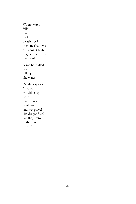Where water falls over rock, splash pool in stone shadows, sun caught high in green branches overhead. Some have died here falling like water. Do their spirits (if such should exist) hover over tumbled boulders and wet gravel like dragonflies? Do they tremble in the sun lit leaves?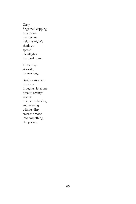**Dirty** fingernail clipping of a moon over grassy fields as night's shadows spread. Headlights: the road home. These days at work, far too long. Barely a moment for stray thoughts, let alone time to arrange words unique to the day, and evening with its dirty crescent moon

into something like poetry.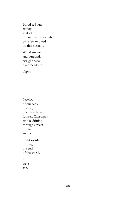Blood red sun setting, as if all the summer's wounds were left to bleed on this horizon.

Wood smoke and burgundy twilight haze over meadows.

Night.

Preview of our sepiafiltered, micro-cephalic futures. Cityscapes, smoke drifting through streets, the sun an open sore. Eight words relating the end of the world. I taste

ash.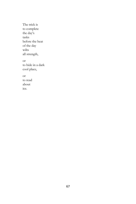The trick is to complete the day's tasks before the heat of the day wilts all strength, or to hide in a dark cool place, or to read about ice.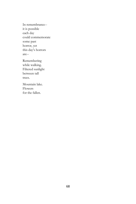In remembrance- it is possible each day could commemorate some past horror, yet this day's horrors are--

Remembering while walking. Filtered sunlight between tall trees.

Mountain lake. Flowers for the fallen.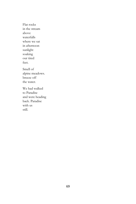Flat rocks in the stream above waterfalls where we sat in afternoon sunlight soaking our tired feet. Smell of alpine meadows. breeze off the water. We had walked to Paradise and were heading back. Paradise

with us still.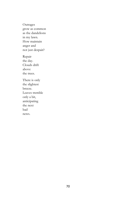Outrages grow as common as the dandelions in my lawn. How maintain anger and not just despair?

Repair the day. Clouds drift above the trees.

There is only the slightest breeze. Leaves tremble only a bit, anticipating the next bad news.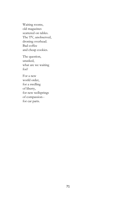Waiting rooms, old magazines scattered on tables. The TV, unobserved, droning overhead. Bad coffee and cheap cookies.

The question, unasked, what are we waiting for?

For a new world order, for a swelling of liberty, for new wellsprings of compassion- for car parts.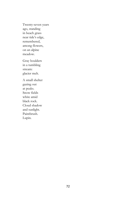Twenty-seven years ago, standing in beach grass near tide's edge, remembered, among flowers, on an alpine meadow.

Gray boulders in a tumbling stream: glacier melt.

A small shelter gazing out at peaks. Snow fields white amid black rock. Cloud shadow and sunlight. Paintbrush. Lupin.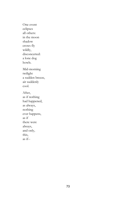One event eclipses all others: in the moon shadow crows fly wildly, disconcerted: a lone dog howls. Mid-morning twilight a sudden breeze, air suddenly cool. After, as if nothing had happened, as always, nothing ever happens, as if there were always, and only, this, as if--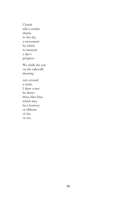Clouds add a certain drama to the sky, a movement by which to measure a day's progress.

We chalk the sun on the sidewalk drawing

rays around a circle. I draw a tree he draws three blue lines which may be a horizon or ribbons of sky or sea.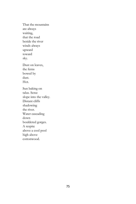That the mountains are always waiting, that the road beside the river winds always upward toward sky. Dust on leaves, the ferns bowed by dust. Hot. Sun baking on talus. Scree slope into the valley. Distant cliffs shadowing the river. Water cascading down bouldered gorges. A respite above a cool pool high above cottonwood.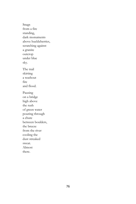Snags from a fire standing, dark monuments above huckleberries, scratching against a granite outcrop under blue sky. The trail skirting a washout fire and flood. Pausing on a bridge high above the rush of green water pouring through a chute between boulders, the breeze from the river cooling the dust streaked sweat. Almost there.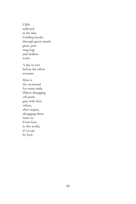Cliffs reflected in the lake. Guiding kayaks through green marsh grass, past snag logs and shallow rocks.

A day to rest before the effort resumes.

Here is the crossroad for many trails. Hikers shrugging off packs gray with dust. others, after respite, shrugging them back on. From here to the world, if you go by foot.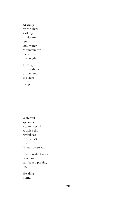At camp by the river soaking tired, dirty feet in cold water. Mountain top haloed in sunlight.

Through the mesh roof of the tent, the stars.

Sleep.

Waterfall spilling into a granite pool. A quick dip revitalizes for the last push. A bear on snow. Dusty switchbacks

down to the sun baked parking lot.

Heading home.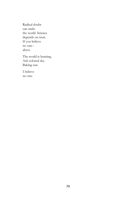Radical doubt can undo the world. Science depends on trust. If you believe no one- abyss.

The world is burning. Ash colored sky. Baking sun.

I believe no one.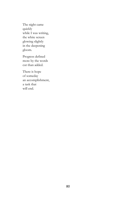The night came quickly while I was writing, the white screen glowing slightly in the deepening gloom.

Progress defined more by the words cut than added.

There is hope of someday an accomplishment, a task that will end.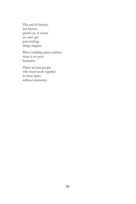The end of history, but history grinds on. It seems we can't get past making things happen.

When building space stations there is no post humanity.

There are just people who must work together in close space without animosity.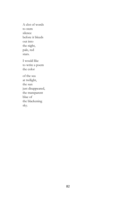A clot of words to stem silence before it bleeds out into the night, pale, red stars.

I would like to write a poem the color

of the sea at twilight, the sun just disappeared, the transparent blue of the blackening sky.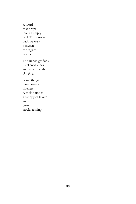A word that drops into an empty well. The narrow path we walk between the ragged weeds.

The ruined gardens blackened vines and wilted petals clinging.

Some things have come into ripeness: A melon under a canopy of leaves an ear of corn: stocks rattling.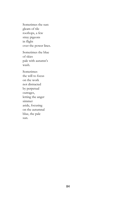Sometimes the sun: gleam of tile rooftops, a few stray pigeons in flight over the power lines.

Sometimes the blue of skies pale with autumn's wash.

Sometimes the will to focus on the work not distracted by perpetual outrages, letting the anger simmer aside, focusing on the autumnal blue, the pale sun.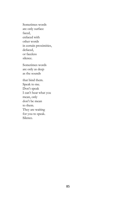Sometimes words are only surface faced, enfaced with other words in certain proximities, defaced, or faceless silence.

Sometimes words are only as deep as the sounds

that bind them. Speak to me. Don't speak I can't hear what you mean, only don't be mean to them. They are waiting for you to speak. Silence.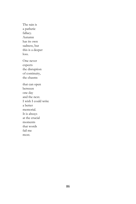The rain is a pathetic fallacy. Autumn has its own sadness, but this is a deeper loss. One never expects the disruption of continuity, the chasms that can open between one day and the next. I wish I could write a better memorial. It is always at the crucial moments that words fail me most.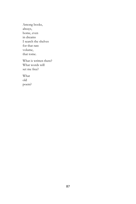Among books, always, home, even in dreams I search the shelves for that rare volume, that tome.

What is written there? What words will set me free?

What old poem?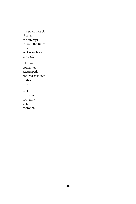A new approach, always, the attempt to map the times to words, as if somehow to speak--

All time consumed, rearranged, and redistributed in this present time,

as if this were somehow that moment.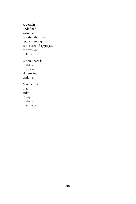A certain undefined sadness- not that there aren't reasons enough- some sort of aggregate- the average dullness.

Where there is nothing to be done all remains undone.

Nine words that strive to say nothing that matters.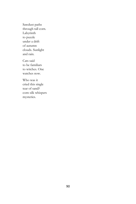Sawdust paths through tall corn. Labyrinth to puzzle under a drift of autumn clouds. Sunlight and rain.

Cats said to be familiars to witches. One watches now.

Who was it cried this single tear of sand? corn silk whispers mysteries.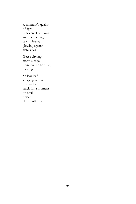A moment's quality of light between clear dawn and the coming storm: leaves glowing against slate skies.

Geese circling storm's edge. Rain, on the horizon, moving in.

Yellow leaf scraping across the platform, stuck for a moment on a rail, poised like a butterfly.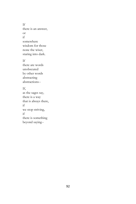If there is an answer, or if somewhere wisdom for those none the wiser, staring into dark.

If

there are words unobscured by other words abstracting abstractions--

## If,

as the sages say, there is a way that is always there, if we stop striving, if there is something beyond saying--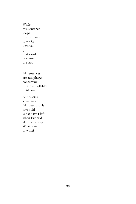While this sentence loops in an attempt to eat its own tail ( first word devouring the last. ) All sentences are autophages, consuming their own syllables until gone. Self-erasing semantics. All speech spills into void. What have I left when I've said all I had to say? What is still

to write?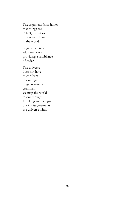The argument from James that things are, in fact, just as we experience them in the world.

Logic a practical addition, tools providing a semblance of order.

The universe does not have to conform to our logic. Logic is mainly grammar, we map the world to our thought. Thinking and being- but in disagreements the universe wins.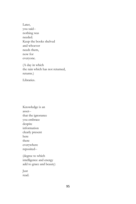Later, you said- nothing was needed. Keep the books shelved and whoever needs them, now for everyone.

(A day in which the rain which has not returned, returns.)

Libraries.

Knowledge is an asset- that the ignorance you embrace despite information clearly present here there everywhere reposited-- (degree to which

intelligence and energy add to grace and beauty)

Just read.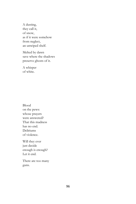A dusting, they call it, of snow, as if it were somehow from neglect, an unwiped shelf.

Melted by dawn save where the shadows preserve ghosts of it.

A whisper of white.

Blood on the pews: whose prayers were answered? That this madness has no end. Deliriums of violence.

Will they ever just decide enough is enough? Let it end.

There are too many guns.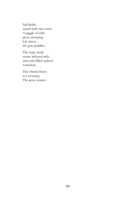Sad fields, rutted with rain water. A gaggle of wild geese sweeping low above the gray puddles.

The train, itself, seems infected with their rain filled sadness somehow.

The whistle blows at a crossing. The geese scatter.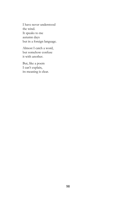I have never understood the wind. It speaks to me autumn days but in a foreign language.

Almost I catch a word, but somehow confuse it with another.

But, like a poem I can't explain, its meaning is clear.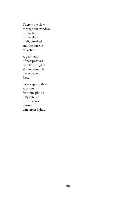There's the view through the window, the surface of the glass itself, streaked, and the interior reflected.

A geometry of perspectives: warehouse lights shining through her reflected face.

How capture this? A photo from my phone only catches the reflection blurred, dim street lights.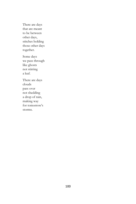There are days that are meant to be between other days, stitches holding those other days together.

Some days we pass through like ghosts not stirring a leaf.

There are days clouds pass over not shedding a drop of rain, making way for tomorrow's storms.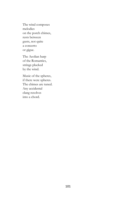The wind composes melodies on the porch chimes, rests between gusts, not quite a concerto or gigue.

The Aeolian harp of the Romantics, strings plucked by the wind.

Music of the spheres, if there were spheres. The chimes are tuned. Any accidental clang resolves into a chord.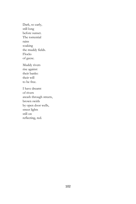Dark, so early, still long before sunset. The torrential rains soaking the muddy fields. Flocks of geese.

Muddy rivers rise against their banks: their will to be free.

I have dreamt of rivers awash through streets, brown swirls by open door wells, street lights still on reflecting, red.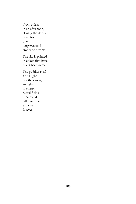Now, at last in an afternoon, closing the doors, here, for one long weekend empty of dreams.

The sky is painted in colors that have never been named.

The puddles steal a dull light, not their own, and gleam in empty, rutted fields. One could fall into their expanse forever.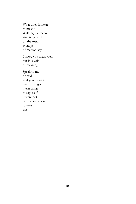What does it mean to mean? Walking the mean streets, poised on the mean average of mediocracy.

I know you mean well, but it is void of meaning.

Speak to me he said as if you mean it. Such an angry, mean thing to say, as if it were not demeaning enough to mean this.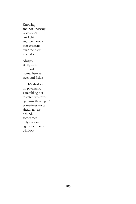Knowing and not knowing yesterday's last light and the moon's thin crescent over the dark low hills.

Always, at day's end the road home, between trees and fields.

Limb's shadow on pavement, a trembling net to catch whatever light—is there light? Sometimes no car ahead, no car behind, sometimes only the dim light of curtained windows.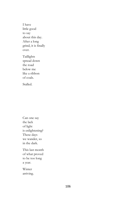I have little good to say about this day. After a long grind, it is finally over.

Taillights spread down the road below me like a ribbon of coals.

Stalled.

Can one say the lack of light is enlightening? These days we wander, so in the dark.

This last month of what proved to be too long a year.

Winter arriving.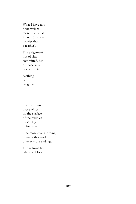What I have not done weighs more than what I have: (my heart heavier than a feather).

The judgement not of sins committed, but of those acts never enacted.

Nothing is weightier.

Just the thinnest tissue of ice on the surface of the puddles, dissolving in first sun.

One more cold morning to mark this world of ever more endings.

The railroad ties white on black.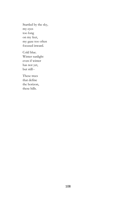Startled by the sky, my eyes too long on my feet, my gaze too often focused inward.

Cold blue. Winter sunlight even if winter has not yet, but still--

These trees that define the horizon, these hills.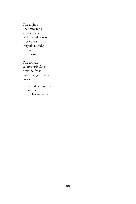The night's uncomfortable silence. What we have, of course, is wordless, unspoken under the red quarter moon.

The tongue cannot articulate how the frost condensing in the air tastes.

The mind cannot find the syntax for such a sentence.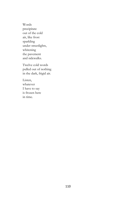Words precipitate out of the cold air, like frost sparkling under streetlights, whitening the pavement and sidewalks.

Twelve cold words pulled out of nothing in the dark, frigid air.

Listen, whatever I have to say is frozen here in time.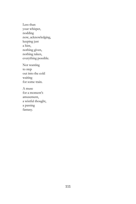Less than your whisper, nodding now, acknowledging, keeping just a hint, nothing given, nothing taken, everything possible.

Not wanting to step out into the cold waiting for some train.

A muse for a moment's amusement, a wistful thought, a passing fantasy.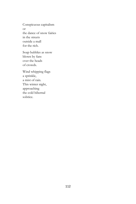Conspicuous capitalism or the dance of snow fairies in the streets outside a mall for the rich.

Soap bubbles as snow blown by fans over the heads of crowds.

Wind whipping flags a sprinkle, a mist of rain. This winter night, approaching the cold hibernal solstice.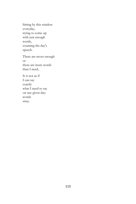Sitting by this window everyday, trying to come up with just enough words, counting the day's speech.

There are never enough or there are more words than I need,

It is not as if I can say exactly what I need to say on any given day: words stray.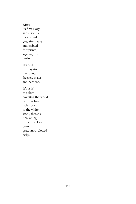After its first glory, snow seems mostly sad: gray tire tracks and stained footprints, sagging tree limbs. It's as if

the day itself melts and freezes, thaws and hardens.

It's as if the cloth covering the world is threadbare: holes worn in the white wool, threads unraveling, tufts of yellow grass, gray, snow clotted twigs.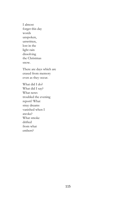I almost forget this day words unspoken, unwritten, lost in the light rain dissolving the Christmas snow.

There are days which are erased from memory even as they occur.

What did I do? What did I say? What news troubled the evening report? What stray dreams vanished when I awoke? What smoke drifted from what embers?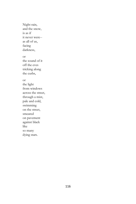Night rain, and the snow, is as if it never were- as all of us, facing darkness,

or

the sound of it off the eves tricking along the curbs,

or

the light from windows across the street, through a mist, pale and cold, swimming on the street, smeared on pavement against black like so many dying stars.